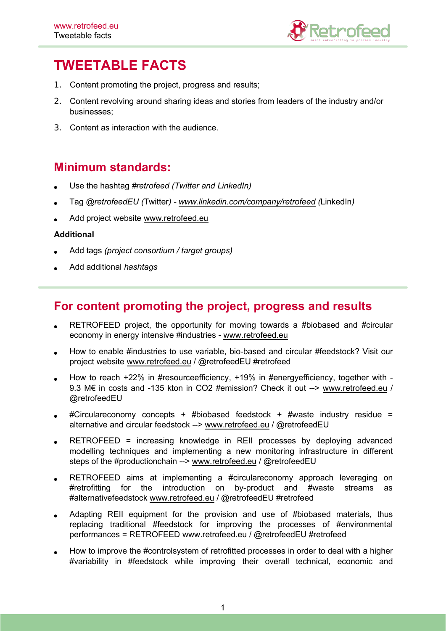

# **TWEETABLE FACTS**

- 1. Content promoting the project, progress and results;
- 2. Content revolving around sharing ideas and stories from leaders of the industry and/or businesses;
- 3. Content as interaction with the audience.

# **Minimum standards:**

- Use the hashtag *#retrofeed (Twitter and LinkedIn)*
- Tag *@retrofeedEU (*Twitter*) - [www.linkedin.com/company/retrofeed](http://www.linkedin.com/company/retrofeed) (*LinkedIn*)*
- Add project website [www.retrofeed.eu](http://www.retrofeed.eu)

#### **Additional**

- Add tags *(project consortium / target groups)*
- Add additional *hashtags*

# **For content promoting the project, progress and results**

- RETROFEED project, the opportunity for moving towards a #biobased and #circular economy in energy intensive #industries - [www.retrofeed.eu](http://www.retrofeed.eu)
- How to enable #industries to use variable, bio-based and circular #feedstock? Visit our project website [www.retrofeed.eu](http://www.retrofeed.eu) / @retrofeedEU #retrofeed
- How to reach +22% in #resourceefficiency, +19% in #energyefficiency, together with 9.3 M€ in costs and -135 kton in CO2 #emission? Check it out --> [www.retrofeed.eu](http://www.retrofeed.eu) / @retrofeedEU
- #Circulareconomy concepts + #biobased feedstock + #waste industry residue = alternative and circular feedstock --> [www.retrofeed.eu](http://www.retrofeed.eu) / @retrofeedEU
- RETROFEED = increasing knowledge in REII processes by deploying advanced modelling techniques and implementing a new monitoring infrastructure in different steps of the #productionchain --> [www.retrofeed.eu](http://www.retrofeed.eu) / @retrofeedEU
- RETROFEED aims at implementing a #circulareconomy approach leveraging on #retrofitting for the introduction on by-product and #waste streams as #alternativefeedstock [www.retrofeed.eu](http://www.retrofeed.eu) / @retrofeedEU #retrofeed
- Adapting REII equipment for the provision and use of #biobased materials, thus replacing traditional #feedstock for improving the processes of #environmental performances = RETROFEED [www.retrofeed.eu](http://www.retrofeed.eu) / @retrofeedEU #retrofeed
- How to improve the #controlsystem of retrofitted processes in order to deal with a higher #variability in #feedstock while improving their overall technical, economic and